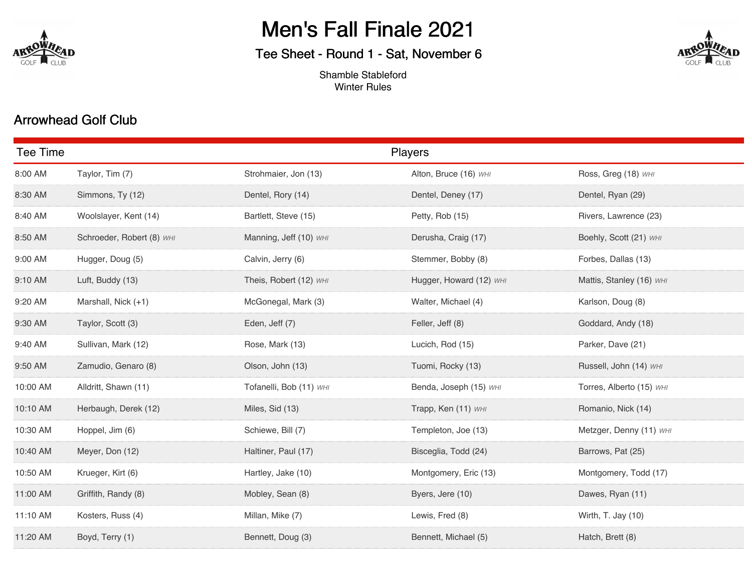

# Men's Fall Finale 2021

## Tee Sheet - Round 1 - Sat, November 6



Shamble Stableford Winter Rules

### Arrowhead Golf Club

| Tee Time |                           | <b>Players</b>          |                         |                          |
|----------|---------------------------|-------------------------|-------------------------|--------------------------|
| MA 00:8  | Taylor, Tim (7)           | Strohmaier, Jon (13)    | Alton, Bruce (16) WHI   | Ross, Greg (18) WHI      |
| 8:30 AM  | Simmons, Ty (12)          | Dentel, Rory (14)       | Dentel, Deney (17)      | Dentel, Ryan (29)        |
| 8:40 AM  | Woolslayer, Kent (14)     | Bartlett, Steve (15)    | Petty, Rob (15)         | Rivers, Lawrence (23)    |
| 8:50 AM  | Schroeder, Robert (8) WHI | Manning, Jeff (10) WHI  | Derusha, Craig (17)     | Boehly, Scott (21) WHI   |
| 9:00 AM  | Hugger, Doug (5)          | Calvin, Jerry (6)       | Stemmer, Bobby (8)      | Forbes, Dallas (13)      |
| 9:10 AM  | Luft, Buddy (13)          | Theis, Robert (12) WHI  | Hugger, Howard (12) WHI | Mattis, Stanley (16) WHI |
| 9:20 AM  | Marshall, Nick (+1)       | McGonegal, Mark (3)     | Walter, Michael (4)     | Karlson, Doug (8)        |
| 9:30 AM  | Taylor, Scott (3)         | Eden, Jeff (7)          | Feller, Jeff (8)        | Goddard, Andy (18)       |
| 9:40 AM  | Sullivan, Mark (12)       | Rose, Mark (13)         | Lucich, Rod (15)        | Parker, Dave (21)        |
| 9:50 AM  | Zamudio, Genaro (8)       | Olson, John (13)        | Tuomi, Rocky (13)       | Russell, John (14) WHI   |
| 10:00 AM | Alldritt, Shawn (11)      | Tofanelli, Bob (11) WHI | Benda, Joseph (15) WHI  | Torres, Alberto (15) WHI |
| 10:10 AM | Herbaugh, Derek (12)      | Miles, Sid (13)         | Trapp, Ken (11) WHI     | Romanio, Nick (14)       |
| 10:30 AM | Hoppel, Jim (6)           | Schiewe, Bill (7)       | Templeton, Joe (13)     | Metzger, Denny (11) WHI  |
| 10:40 AM | Meyer, Don (12)           | Haltiner, Paul (17)     | Bisceglia, Todd (24)    | Barrows, Pat (25)        |
| 10:50 AM | Krueger, Kirt (6)         | Hartley, Jake (10)      | Montgomery, Eric (13)   | Montgomery, Todd (17)    |
| 11:00 AM | Griffith, Randy (8)       | Mobley, Sean (8)        | Byers, Jere (10)        | Dawes, Ryan (11)         |
| 11:10 AM | Kosters, Russ (4)         | Millan, Mike (7)        | Lewis, Fred (8)         | Wirth, T. Jay (10)       |
| 11:20 AM | Boyd, Terry (1)           | Bennett, Doug (3)       | Bennett, Michael (5)    | Hatch, Brett (8)         |
|          |                           |                         |                         |                          |